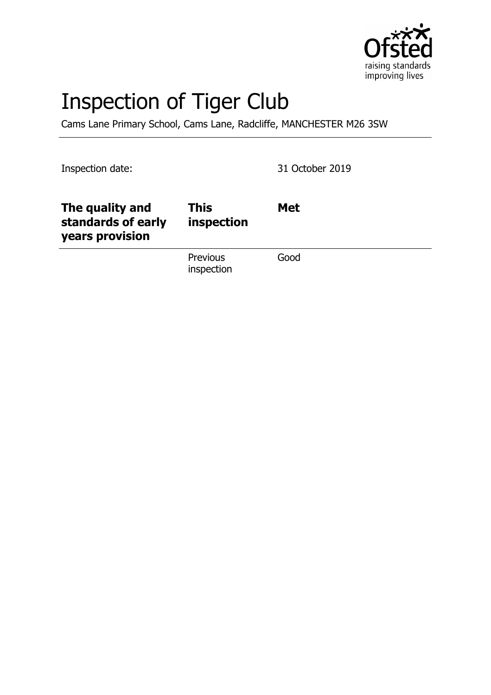

# Inspection of Tiger Club

Cams Lane Primary School, Cams Lane, Radcliffe, MANCHESTER M26 3SW

Inspection date: 31 October 2019

| The quality and<br>standards of early<br>years provision | This<br>inspection            | <b>Met</b> |
|----------------------------------------------------------|-------------------------------|------------|
|                                                          | <b>Previous</b><br>inspection | Good       |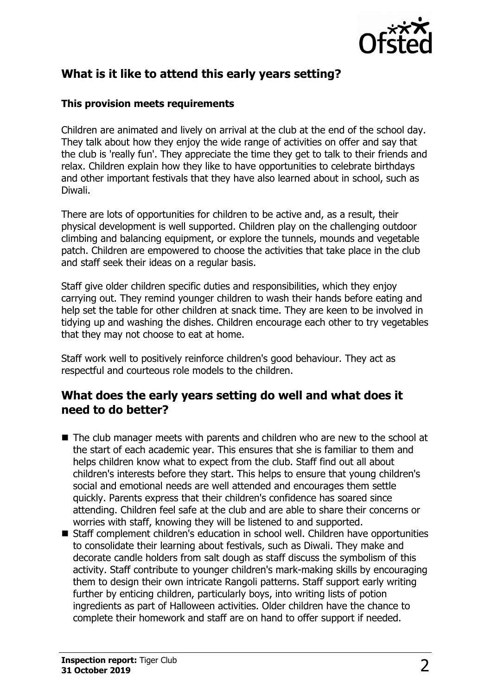

## **What is it like to attend this early years setting?**

#### **This provision meets requirements**

Children are animated and lively on arrival at the club at the end of the school day. They talk about how they enjoy the wide range of activities on offer and say that the club is 'really fun'. They appreciate the time they get to talk to their friends and relax. Children explain how they like to have opportunities to celebrate birthdays and other important festivals that they have also learned about in school, such as Diwali.

There are lots of opportunities for children to be active and, as a result, their physical development is well supported. Children play on the challenging outdoor climbing and balancing equipment, or explore the tunnels, mounds and vegetable patch. Children are empowered to choose the activities that take place in the club and staff seek their ideas on a regular basis.

Staff give older children specific duties and responsibilities, which they enjoy carrying out. They remind younger children to wash their hands before eating and help set the table for other children at snack time. They are keen to be involved in tidying up and washing the dishes. Children encourage each other to try vegetables that they may not choose to eat at home.

Staff work well to positively reinforce children's good behaviour. They act as respectful and courteous role models to the children.

#### **What does the early years setting do well and what does it need to do better?**

- $\blacksquare$  The club manager meets with parents and children who are new to the school at the start of each academic year. This ensures that she is familiar to them and helps children know what to expect from the club. Staff find out all about children's interests before they start. This helps to ensure that young children's social and emotional needs are well attended and encourages them settle quickly. Parents express that their children's confidence has soared since attending. Children feel safe at the club and are able to share their concerns or worries with staff, knowing they will be listened to and supported.
- Staff complement children's education in school well. Children have opportunities to consolidate their learning about festivals, such as Diwali. They make and decorate candle holders from salt dough as staff discuss the symbolism of this activity. Staff contribute to younger children's mark-making skills by encouraging them to design their own intricate Rangoli patterns. Staff support early writing further by enticing children, particularly boys, into writing lists of potion ingredients as part of Halloween activities. Older children have the chance to complete their homework and staff are on hand to offer support if needed.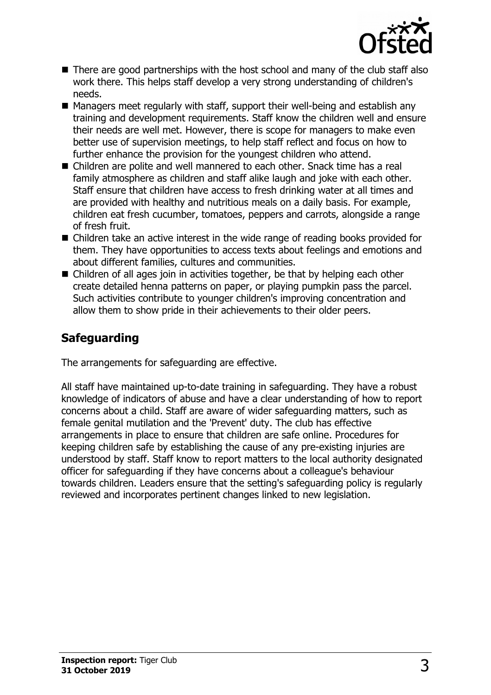

- $\blacksquare$  There are good partnerships with the host school and many of the club staff also work there. This helps staff develop a very strong understanding of children's needs.
- $\blacksquare$  Managers meet regularly with staff, support their well-being and establish any training and development requirements. Staff know the children well and ensure their needs are well met. However, there is scope for managers to make even better use of supervision meetings, to help staff reflect and focus on how to further enhance the provision for the youngest children who attend.
- $\blacksquare$  Children are polite and well mannered to each other. Snack time has a real family atmosphere as children and staff alike laugh and joke with each other. Staff ensure that children have access to fresh drinking water at all times and are provided with healthy and nutritious meals on a daily basis. For example, children eat fresh cucumber, tomatoes, peppers and carrots, alongside a range of fresh fruit.
- $\blacksquare$  Children take an active interest in the wide range of reading books provided for them. They have opportunities to access texts about feelings and emotions and about different families, cultures and communities.
- $\blacksquare$  Children of all ages join in activities together, be that by helping each other create detailed henna patterns on paper, or playing pumpkin pass the parcel. Such activities contribute to younger children's improving concentration and allow them to show pride in their achievements to their older peers.

## **Safeguarding**

The arrangements for safeguarding are effective.

All staff have maintained up-to-date training in safeguarding. They have a robust knowledge of indicators of abuse and have a clear understanding of how to report concerns about a child. Staff are aware of wider safeguarding matters, such as female genital mutilation and the 'Prevent' duty. The club has effective arrangements in place to ensure that children are safe online. Procedures for keeping children safe by establishing the cause of any pre-existing injuries are understood by staff. Staff know to report matters to the local authority designated officer for safeguarding if they have concerns about a colleague's behaviour towards children. Leaders ensure that the setting's safeguarding policy is regularly reviewed and incorporates pertinent changes linked to new legislation.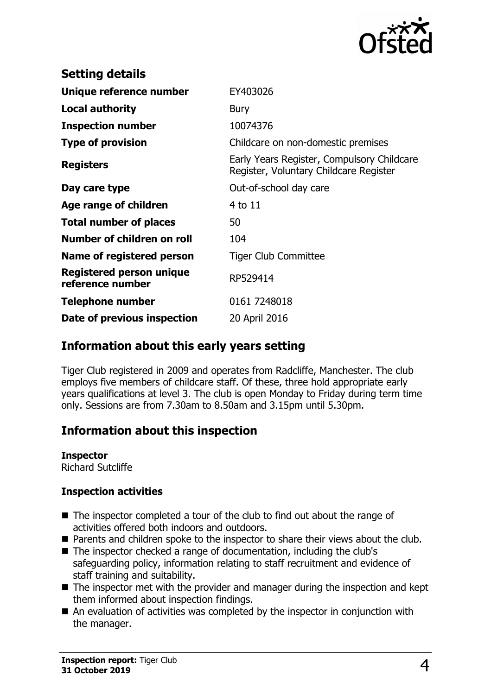

| <b>Setting details</b>                       |                                                                                      |
|----------------------------------------------|--------------------------------------------------------------------------------------|
| Unique reference number                      | EY403026                                                                             |
| <b>Local authority</b>                       | Bury                                                                                 |
| <b>Inspection number</b>                     | 10074376                                                                             |
| <b>Type of provision</b>                     | Childcare on non-domestic premises                                                   |
| <b>Registers</b>                             | Early Years Register, Compulsory Childcare<br>Register, Voluntary Childcare Register |
| Day care type                                | Out-of-school day care                                                               |
| Age range of children                        | 4 to 11                                                                              |
| <b>Total number of places</b>                | 50                                                                                   |
| Number of children on roll                   | 104                                                                                  |
| <b>Name of registered person</b>             | <b>Tiger Club Committee</b>                                                          |
| Registered person unique<br>reference number | RP529414                                                                             |
| <b>Telephone number</b>                      | 0161 7248018                                                                         |
| Date of previous inspection                  | 20 April 2016                                                                        |

#### **Information about this early years setting**

Tiger Club registered in 2009 and operates from Radcliffe, Manchester. The club employs five members of childcare staff. Of these, three hold appropriate early years qualifications at level 3. The club is open Monday to Friday during term time only. Sessions are from 7.30am to 8.50am and 3.15pm until 5.30pm.

## **Information about this inspection**

**Inspector** Richard Sutcliffe

#### **Inspection activities**

- $\blacksquare$  The inspector completed a tour of the club to find out about the range of activities offered both indoors and outdoors.
- Parents and children spoke to the inspector to share their views about the club.
- The inspector checked a range of documentation, including the club's safeguarding policy, information relating to staff recruitment and evidence of staff training and suitability.
- $\blacksquare$  The inspector met with the provider and manager during the inspection and kept them informed about inspection findings.
- $\blacksquare$  An evaluation of activities was completed by the inspector in conjunction with the manager.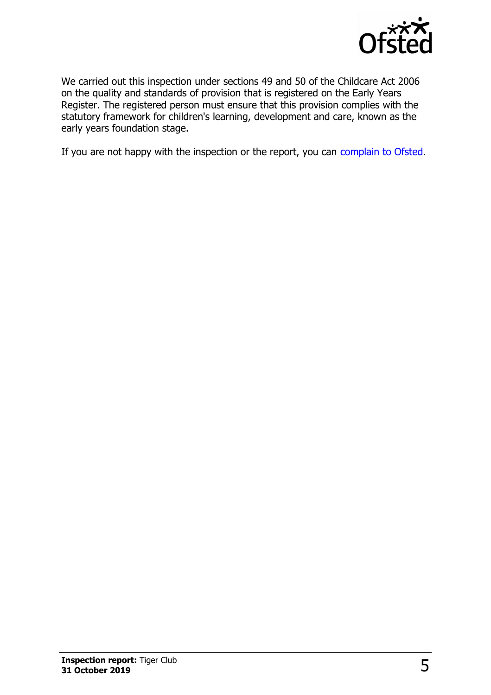

We carried out this inspection under sections 49 and 50 of the Childcare Act 2006 on the quality and standards of provision that is registered on the Early Years Register. The registered person must ensure that this provision complies with the statutory framework for children's learning, development and care, known as the early years foundation stage.

If you are not happy with the inspection or the report, you can [complain to Ofsted.](http://www.gov.uk/complain-ofsted-report)